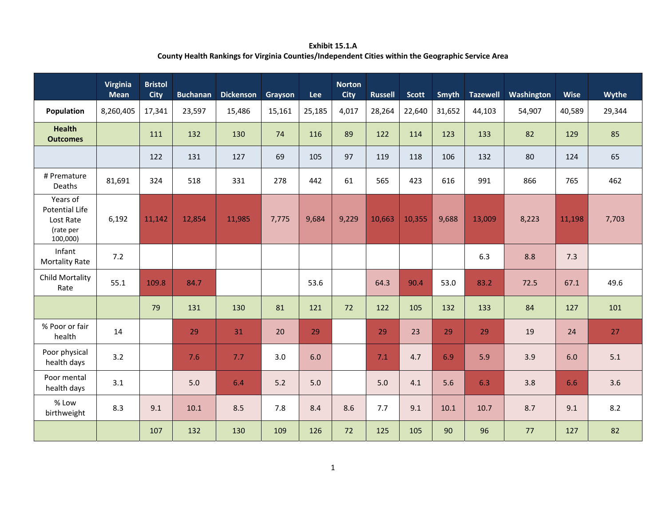**Exhibit 15.1.A County Health Rankings for Virginia Counties/Independent Cities within the Geographic Service Area**

|                                                                         | Virginia<br><b>Mean</b> | <b>Bristol</b><br><b>City</b> | <b>Buchanan</b> | <b>Dickenson</b> | Grayson | Lee    | <b>Norton</b><br><b>City</b> | <b>Russell</b> | <b>Scott</b> | <b>Smyth</b> | <b>Tazewell</b> | Washington | <b>Wise</b> | Wythe  |
|-------------------------------------------------------------------------|-------------------------|-------------------------------|-----------------|------------------|---------|--------|------------------------------|----------------|--------------|--------------|-----------------|------------|-------------|--------|
| Population                                                              | 8,260,405               | 17,341                        | 23,597          | 15,486           | 15,161  | 25,185 | 4,017                        | 28,264         | 22,640       | 31,652       | 44,103          | 54,907     | 40,589      | 29,344 |
| <b>Health</b><br><b>Outcomes</b>                                        |                         | 111                           | 132             | 130              | 74      | 116    | 89                           | 122            | 114          | 123          | 133             | 82         | 129         | 85     |
|                                                                         |                         | 122                           | 131             | 127              | 69      | 105    | 97                           | 119            | 118          | 106          | 132             | 80         | 124         | 65     |
| # Premature<br>Deaths                                                   | 81,691                  | 324                           | 518             | 331              | 278     | 442    | 61                           | 565            | 423          | 616          | 991             | 866        | 765         | 462    |
| Years of<br><b>Potential Life</b><br>Lost Rate<br>(rate per<br>100,000) | 6,192                   | 11,142                        | 12,854          | 11,985           | 7,775   | 9,684  | 9,229                        | 10,663         | 10,355       | 9,688        | 13,009          | 8,223      | 11,198      | 7,703  |
| Infant<br><b>Mortality Rate</b>                                         | 7.2                     |                               |                 |                  |         |        |                              |                |              |              | 6.3             | 8.8        | 7.3         |        |
| Child Mortality<br>Rate                                                 | 55.1                    | 109.8                         | 84.7            |                  |         | 53.6   |                              | 64.3           | 90.4         | 53.0         | 83.2            | 72.5       | 67.1        | 49.6   |
|                                                                         |                         | 79                            | 131             | 130              | 81      | 121    | 72                           | 122            | 105          | 132          | 133             | 84         | 127         | 101    |
| % Poor or fair<br>health                                                | 14                      |                               | 29              | 31               | 20      | 29     |                              | 29             | 23           | 29           | 29              | 19         | 24          | 27     |
| Poor physical<br>health days                                            | 3.2                     |                               | 7.6             | 7.7              | 3.0     | 6.0    |                              | 7.1            | 4.7          | 6.9          | 5.9             | 3.9        | 6.0         | 5.1    |
| Poor mental<br>health days                                              | 3.1                     |                               | 5.0             | 6.4              | 5.2     | 5.0    |                              | 5.0            | 4.1          | 5.6          | 6.3             | 3.8        | 6.6         | 3.6    |
| % Low<br>birthweight                                                    | 8.3                     | 9.1                           | 10.1            | 8.5              | 7.8     | 8.4    | 8.6                          | 7.7            | 9.1          | 10.1         | 10.7            | 8.7        | 9.1         | 8.2    |
|                                                                         |                         | 107                           | 132             | 130              | 109     | 126    | 72                           | 125            | 105          | 90           | 96              | 77         | 127         | 82     |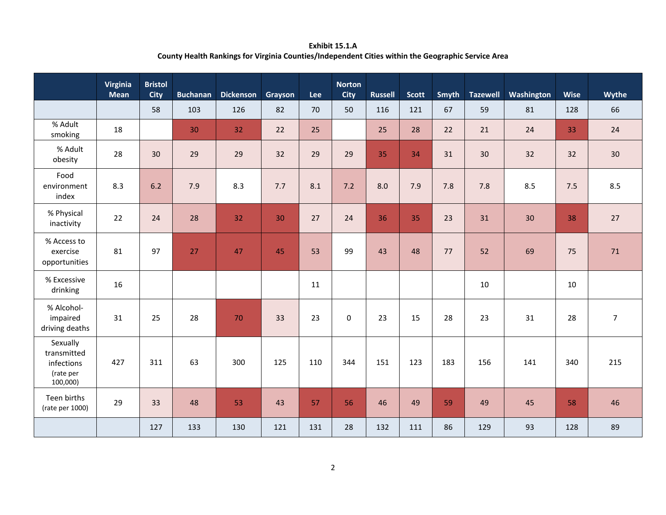**Exhibit 15.1.A County Health Rankings for Virginia Counties/Independent Cities within the Geographic Service Area**

|                                                                | Virginia<br><b>Mean</b> | <b>Bristol</b><br><b>City</b> | <b>Buchanan</b> | <b>Dickenson</b> | Grayson | Lee | <b>Norton</b><br><b>City</b> | <b>Russell</b> | Scott | Smyth | <b>Tazewell</b> | Washington | <b>Wise</b> | Wythe          |
|----------------------------------------------------------------|-------------------------|-------------------------------|-----------------|------------------|---------|-----|------------------------------|----------------|-------|-------|-----------------|------------|-------------|----------------|
|                                                                |                         | 58                            | 103             | 126              | 82      | 70  | 50                           | 116            | 121   | 67    | 59              | 81         | 128         | 66             |
| % Adult<br>smoking                                             | 18                      |                               | 30              | 32               | 22      | 25  |                              | 25             | 28    | 22    | 21              | 24         | 33          | 24             |
| % Adult<br>obesity                                             | 28                      | 30                            | 29              | 29               | 32      | 29  | 29                           | 35             | 34    | 31    | 30              | 32         | 32          | 30             |
| Food<br>environment<br>index                                   | 8.3                     | 6.2                           | 7.9             | 8.3              | 7.7     | 8.1 | 7.2                          | 8.0            | 7.9   | 7.8   | 7.8             | 8.5        | 7.5         | 8.5            |
| % Physical<br>inactivity                                       | 22                      | 24                            | 28              | 32               | 30      | 27  | 24                           | 36             | 35    | 23    | 31              | 30         | 38          | 27             |
| % Access to<br>exercise<br>opportunities                       | 81                      | 97                            | 27              | 47               | 45      | 53  | 99                           | 43             | 48    | 77    | 52              | 69         | 75          | 71             |
| % Excessive<br>drinking                                        | 16                      |                               |                 |                  |         | 11  |                              |                |       |       | 10              |            | 10          |                |
| % Alcohol-<br>impaired<br>driving deaths                       | 31                      | 25                            | 28              | 70               | 33      | 23  | $\Omega$                     | 23             | 15    | 28    | 23              | 31         | 28          | $\overline{7}$ |
| Sexually<br>transmitted<br>infections<br>(rate per<br>100,000) | 427                     | 311                           | 63              | 300              | 125     | 110 | 344                          | 151            | 123   | 183   | 156             | 141        | 340         | 215            |
| Teen births<br>(rate per 1000)                                 | 29                      | 33                            | 48              | 53               | 43      | 57  | 56                           | 46             | 49    | 59    | 49              | 45         | 58          | 46             |
|                                                                |                         | 127                           | 133             | 130              | 121     | 131 | 28                           | 132            | 111   | 86    | 129             | 93         | 128         | 89             |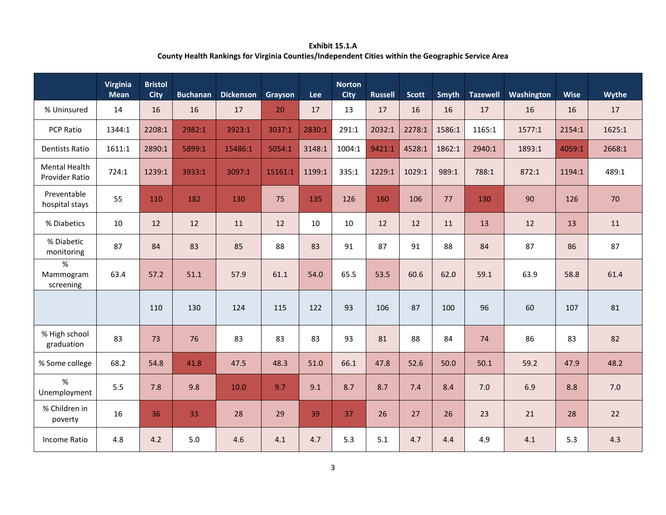**Exhibit 15.1.A County Health Rankings for Virginia Counties/Independent Cities within the Geographic Service Area**

|                                        | Virginia<br><b>Mean</b> | <b>Bristol</b><br><b>City</b> | <b>Buchanan</b> | <b>Dickenson</b> | Grayson | <b>Lee</b> | <b>Norton</b><br><b>City</b> | <b>Russell</b> | <b>Scott</b> | Smyth  | <b>Tazewell</b> | Washington | <b>Wise</b> | Wythe  |
|----------------------------------------|-------------------------|-------------------------------|-----------------|------------------|---------|------------|------------------------------|----------------|--------------|--------|-----------------|------------|-------------|--------|
| % Uninsured                            | 14                      | 16                            | 16              | 17               | 20      | 17         | 13                           | 17             | 16           | 16     | 17              | 16         | 16          | 17     |
| PCP Ratio                              | 1344:1                  | 2208:1                        | 2982:1          | 3923:1           | 3037:1  | 2830:1     | 291:1                        | 2032:1         | 2278:1       | 1586:1 | 1165:1          | 1577:1     | 2154:1      | 1625:1 |
| <b>Dentists Ratio</b>                  | 1611:1                  | 2890:1                        | 5899:1          | 15486:1          | 5054:1  | 3148:1     | 1004:1                       | 9421:1         | 4528:1       | 1862:1 | 2940:1          | 1893:1     | 4059:1      | 2668:1 |
| <b>Mental Health</b><br>Provider Ratio | 724:1                   | 1239:1                        | 3933:1          | 3097:1           | 15161:1 | 1199:1     | 335:1                        | 1229:1         | 1029:1       | 989:1  | 788:1           | 872:1      | 1194:1      | 489:1  |
| Preventable<br>hospital stays          | 55                      | 110                           | 182             | 130              | 75      | 135        | 126                          | 160            | 106          | 77     | 130             | 90         | 126         | 70     |
| % Diabetics                            | 10                      | 12                            | 12              | 11               | 12      | 10         | 10                           | 12             | 12           | 11     | 13              | 12         | 13          | 11     |
| % Diabetic<br>monitoring               | 87                      | 84                            | 83              | 85               | 88      | 83         | 91                           | 87             | 91           | 88     | 84              | 87         | 86          | 87     |
| %<br>Mammogram<br>screening            | 63.4                    | 57.2                          | 51.1            | 57.9             | 61.1    | 54.0       | 65.5                         | 53.5           | 60.6         | 62.0   | 59.1            | 63.9       | 58.8        | 61.4   |
|                                        |                         | 110                           | 130             | 124              | 115     | 122        | 93                           | 106            | 87           | 100    | 96              | 60         | 107         | 81     |
| % High school<br>graduation            | 83                      | 73                            | 76              | 83               | 83      | 83         | 93                           | 81             | 88           | 84     | 74              | 86         | 83          | 82     |
| % Some college                         | 68.2                    | 54.8                          | 41.8            | 47.5             | 48.3    | 51.0       | 66.1                         | 47.8           | 52.6         | 50.0   | 50.1            | 59.2       | 47.9        | 48.2   |
| %<br>Unemployment                      | 5.5                     | 7.8                           | 9.8             | 10.0             | 9.7     | 9.1        | 8.7                          | 8.7            | 7.4          | 8.4    | 7.0             | 6.9        | 8.8         | 7.0    |
| % Children in<br>poverty               | 16                      | 36                            | 33              | 28               | 29      | 39         | 37                           | 26             | 27           | 26     | 23              | 21         | 28          | 22     |
| <b>Income Ratio</b>                    | 4.8                     | 4.2                           | 5.0             | 4.6              | 4.1     | 4.7        | 5.3                          | 5.1            | 4.7          | 4.4    | 4.9             | 4.1        | 5.3         | 4.3    |